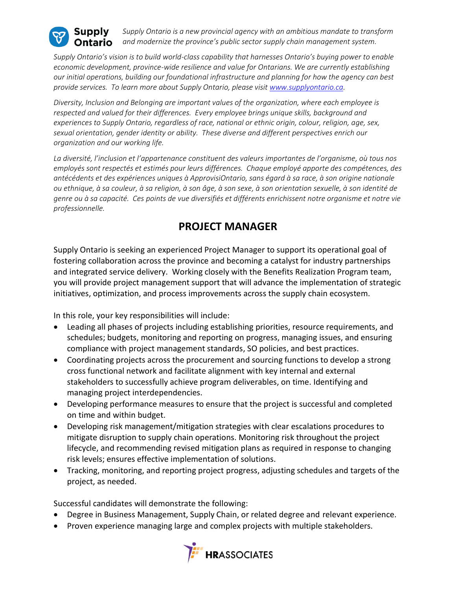

*Supply Ontario is a new provincial agency with an ambitious mandate to transform and modernize the province's public sector supply chain management system.*

*Supply Ontario's vision is to build world-class capability that harnesses Ontario's buying power to enable economic development, province-wide resilience and value for Ontarians. We are currently establishing our initial operations, building our foundational infrastructure and planning for how the agency can best provide services. To learn more about Supply Ontario, please visit [www.supplyontario.ca.](http://www.supplyontario.ca/)* 

*Diversity, Inclusion and Belonging are important values of the organization, where each employee is respected and valued for their differences. Every employee brings unique skills, background and experiences to Supply Ontario, regardless of race, national or ethnic origin, colour, religion, age, sex, sexual orientation, gender identity or ability. These diverse and different perspectives enrich our organization and our working life.*

*La diversité, l'inclusion et l'appartenance constituent des valeurs importantes de l'organisme, où tous nos employés sont respectés et estimés pour leurs différences. Chaque employé apporte des compétences, des antécédents et des expériences uniques à ApprovisiOntario, sans égard à sa race, à son origine nationale ou ethnique, à sa couleur, à sa religion, à son âge, à son sexe, à son orientation sexuelle, à son identité de genre ou à sa capacité. Ces points de vue diversifiés et différents enrichissent notre organisme et notre vie professionnelle.*

## **PROJECT MANAGER**

Supply Ontario is seeking an experienced Project Manager to support its operational goal of fostering collaboration across the province and becoming a catalyst for industry partnerships and integrated service delivery. Working closely with the Benefits Realization Program team, you will provide project management support that will advance the implementation of strategic initiatives, optimization, and process improvements across the supply chain ecosystem.

In this role, your key responsibilities will include:

- Leading all phases of projects including establishing priorities, resource requirements, and schedules; budgets, monitoring and reporting on progress, managing issues, and ensuring compliance with project management standards, SO policies, and best practices.
- Coordinating projects across the procurement and sourcing functions to develop a strong cross functional network and facilitate alignment with key internal and external stakeholders to successfully achieve program deliverables, on time. Identifying and managing project interdependencies.
- Developing performance measures to ensure that the project is successful and completed on time and within budget.
- Developing risk management/mitigation strategies with clear escalations procedures to mitigate disruption to supply chain operations. Monitoring risk throughout the project lifecycle, and recommending revised mitigation plans as required in response to changing risk levels; ensures effective implementation of solutions.
- Tracking, monitoring, and reporting project progress, adjusting schedules and targets of the project, as needed.

Successful candidates will demonstrate the following:

- Degree in Business Management, Supply Chain, or related degree and relevant experience.
- Proven experience managing large and complex projects with multiple stakeholders.